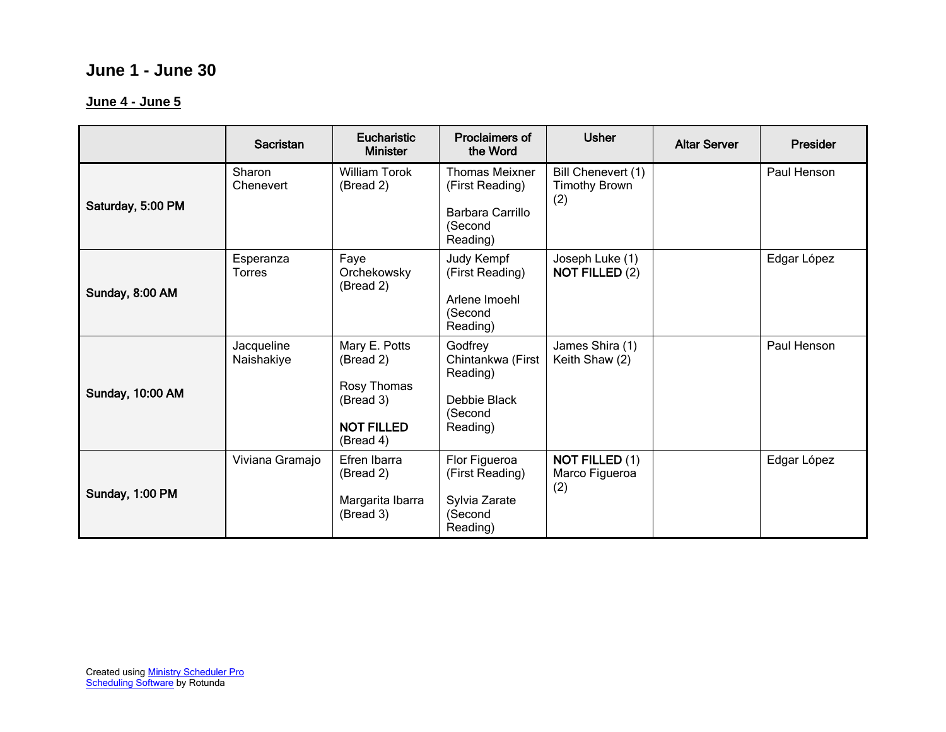# **June 1 - June 30**

#### **June 4 - June 5**

|                         | Sacristan                  | <b>Eucharistic</b><br><b>Minister</b>                                                    | <b>Proclaimers of</b><br>the Word                                                   | <b>Usher</b>                                      | <b>Altar Server</b> | <b>Presider</b> |
|-------------------------|----------------------------|------------------------------------------------------------------------------------------|-------------------------------------------------------------------------------------|---------------------------------------------------|---------------------|-----------------|
| Saturday, 5:00 PM       | Sharon<br>Chenevert        | <b>William Torok</b><br>(Bread 2)                                                        | <b>Thomas Meixner</b><br>(First Reading)<br>Barbara Carrillo<br>(Second<br>Reading) | Bill Chenevert (1)<br><b>Timothy Brown</b><br>(2) |                     | Paul Henson     |
| Sunday, 8:00 AM         | Esperanza<br><b>Torres</b> | Faye<br>Orchekowsky<br>(Bread 2)                                                         | Judy Kempf<br>(First Reading)<br>Arlene Imoehl<br>(Second<br>Reading)               | Joseph Luke (1)<br><b>NOT FILLED (2)</b>          |                     | Edgar López     |
| <b>Sunday, 10:00 AM</b> | Jacqueline<br>Naishakiye   | Mary E. Potts<br>(Bread 2)<br>Rosy Thomas<br>(Bread 3)<br><b>NOT FILLED</b><br>(Bread 4) | Godfrey<br>Chintankwa (First<br>Reading)<br>Debbie Black<br>(Second<br>Reading)     | James Shira (1)<br>Keith Shaw (2)                 |                     | Paul Henson     |
| Sunday, 1:00 PM         | Viviana Gramajo            | Efren Ibarra<br>(Bread 2)<br>Margarita Ibarra<br>(Bread 3)                               | Flor Figueroa<br>(First Reading)<br>Sylvia Zarate<br>(Second<br>Reading)            | <b>NOT FILLED (1)</b><br>Marco Figueroa<br>(2)    |                     | Edgar López     |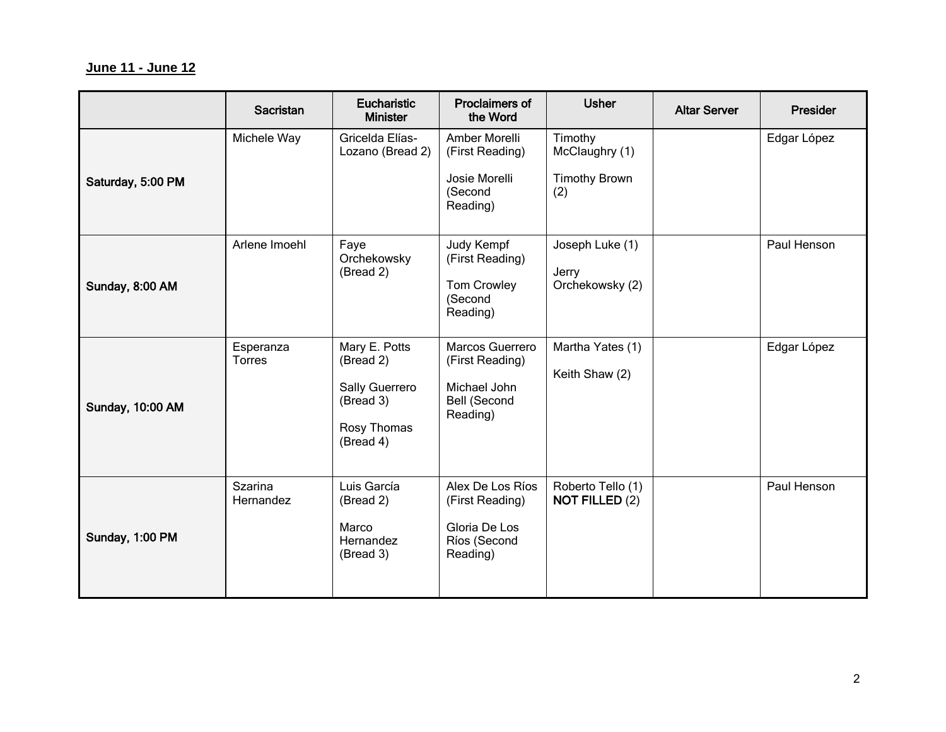## **June 11 - June 12**

|                         | Sacristan            | Eucharistic<br><b>Minister</b>                                                        | Proclaimers of<br>the Word                                                       | <b>Usher</b>                                             | <b>Altar Server</b> | Presider    |
|-------------------------|----------------------|---------------------------------------------------------------------------------------|----------------------------------------------------------------------------------|----------------------------------------------------------|---------------------|-------------|
| Saturday, 5:00 PM       | Michele Way          | Gricelda Elías-<br>Lozano (Bread 2)                                                   | Amber Morelli<br>(First Reading)<br>Josie Morelli<br>(Second<br>Reading)         | Timothy<br>McClaughry (1)<br><b>Timothy Brown</b><br>(2) |                     | Edgar López |
| Sunday, 8:00 AM         | Arlene Imoehl        | Faye<br>Orchekowsky<br>(Bread 2)                                                      | Judy Kempf<br>(First Reading)<br><b>Tom Crowley</b><br>(Second<br>Reading)       | Joseph Luke (1)<br>Jerry<br>Orchekowsky (2)              |                     | Paul Henson |
| <b>Sunday, 10:00 AM</b> | Esperanza<br>Torres  | Mary E. Potts<br>(Bread 2)<br>Sally Guerrero<br>(Bread 3)<br>Rosy Thomas<br>(Bread 4) | Marcos Guerrero<br>(First Reading)<br>Michael John<br>Bell (Second<br>Reading)   | Martha Yates (1)<br>Keith Shaw (2)                       |                     | Edgar López |
| Sunday, 1:00 PM         | Szarina<br>Hernandez | Luis García<br>(Bread 2)<br>Marco<br>Hernandez<br>(Bread 3)                           | Alex De Los Ríos<br>(First Reading)<br>Gloria De Los<br>Ríos (Second<br>Reading) | Roberto Tello (1)<br><b>NOT FILLED (2)</b>               |                     | Paul Henson |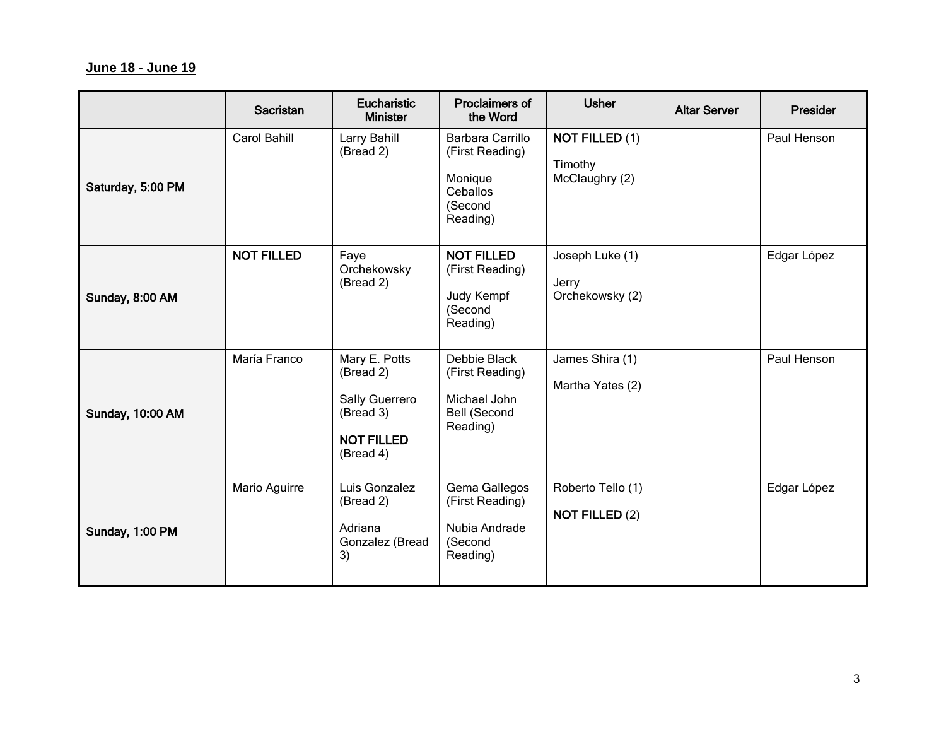## **June 18 - June 19**

|                         | Sacristan         | <b>Eucharistic</b><br><b>Minister</b>                                                       | Proclaimers of<br>the Word                                                         | <b>Usher</b>                                       | <b>Altar Server</b> | Presider    |
|-------------------------|-------------------|---------------------------------------------------------------------------------------------|------------------------------------------------------------------------------------|----------------------------------------------------|---------------------|-------------|
| Saturday, 5:00 PM       | Carol Bahill      | Larry Bahill<br>(Bread 2)                                                                   | Barbara Carrillo<br>(First Reading)<br>Monique<br>Ceballos<br>(Second<br>Reading)  | <b>NOT FILLED (1)</b><br>Timothy<br>McClaughry (2) |                     | Paul Henson |
| Sunday, 8:00 AM         | <b>NOT FILLED</b> | Faye<br>Orchekowsky<br>(Bread 2)                                                            | <b>NOT FILLED</b><br>(First Reading)<br>Judy Kempf<br>(Second<br>Reading)          | Joseph Luke (1)<br>Jerry<br>Orchekowsky (2)        |                     | Edgar López |
| <b>Sunday, 10:00 AM</b> | María Franco      | Mary E. Potts<br>(Bread 2)<br>Sally Guerrero<br>(Bread 3)<br><b>NOT FILLED</b><br>(Bread 4) | Debbie Black<br>(First Reading)<br>Michael John<br><b>Bell (Second</b><br>Reading) | James Shira (1)<br>Martha Yates (2)                |                     | Paul Henson |
| Sunday, 1:00 PM         | Mario Aguirre     | Luis Gonzalez<br>(Bread 2)<br>Adriana<br>Gonzalez (Bread<br>3)                              | Gema Gallegos<br>(First Reading)<br>Nubia Andrade<br>(Second<br>Reading)           | Roberto Tello (1)<br><b>NOT FILLED (2)</b>         |                     | Edgar López |